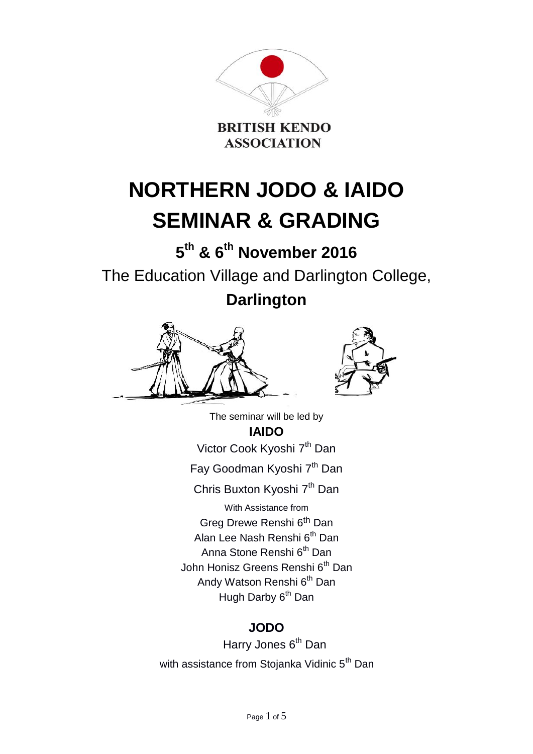

# **NORTHERN JODO & IAIDO SEMINAR & GRADING**

**5 th & 6 th November 2016** The Education Village and Darlington College, **Darlington**





The seminar will be led by **IAIDO** Victor Cook Kyoshi 7<sup>th</sup> Dan Fay Goodman Kyoshi 7<sup>th</sup> Dan Chris Buxton Kyoshi 7<sup>th</sup> Dan With Assistance from Greg Drewe Renshi 6th Dan Alan Lee Nash Renshi 6<sup>th</sup> Dan Anna Stone Renshi 6<sup>th</sup> Dan John Honisz Greens Renshi 6<sup>th</sup> Dan Andy Watson Renshi 6<sup>th</sup> Dan Hugh Darby 6<sup>th</sup> Dan

# **JODO**

Harry Jones 6<sup>th</sup> Dan with assistance from Stojanka Vidinic 5<sup>th</sup> Dan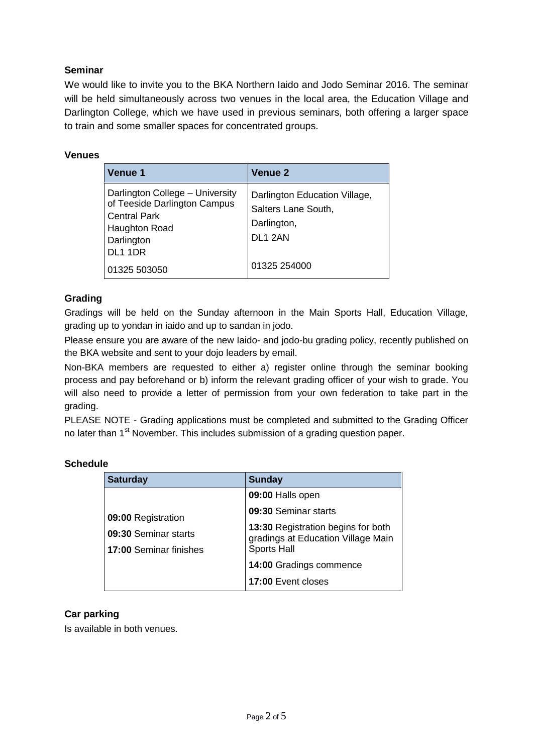# **Seminar**

We would like to invite you to the BKA Northern Iaido and Jodo Seminar 2016. The seminar will be held simultaneously across two venues in the local area, the Education Village and Darlington College, which we have used in previous seminars, both offering a larger space to train and some smaller spaces for concentrated groups.

| Venue 1                                                                                                                                      | <b>Venue 2</b>                                                                             |
|----------------------------------------------------------------------------------------------------------------------------------------------|--------------------------------------------------------------------------------------------|
| Darlington College - University<br>of Teeside Darlington Campus<br><b>Central Park</b><br>Haughton Road<br>Darlington<br>DL <sub>1</sub> 1DR | Darlington Education Village,<br>Salters Lane South,<br>Darlington,<br>DL <sub>1</sub> 2AN |
| 01325 503050                                                                                                                                 | 01325 254000                                                                               |

#### **Venues**

## **Grading**

Gradings will be held on the Sunday afternoon in the Main Sports Hall, Education Village, grading up to yondan in iaido and up to sandan in jodo.

Please ensure you are aware of the new Iaido- and jodo-bu grading policy, recently published on the BKA website and sent to your dojo leaders by email.

Non-BKA members are requested to either a) register online through the seminar booking process and pay beforehand or b) inform the relevant grading officer of your wish to grade. You will also need to provide a letter of permission from your own federation to take part in the grading.

PLEASE NOTE - Grading applications must be completed and submitted to the Grading Officer no later than 1<sup>st</sup> November. This includes submission of a grading question paper.

| <b>Saturday</b>                                | <b>Sunday</b>                                                                                  |
|------------------------------------------------|------------------------------------------------------------------------------------------------|
|                                                | 09:00 Halls open                                                                               |
| 09:00 Registration                             | 09:30 Seminar starts                                                                           |
| 09:30 Seminar starts<br>17:00 Seminar finishes | 13:30 Registration begins for both<br>gradings at Education Village Main<br><b>Sports Hall</b> |
|                                                | 14:00 Gradings commence                                                                        |
|                                                | 17:00 Event closes                                                                             |

## **Schedule**

#### **Car parking**

Is available in both venues.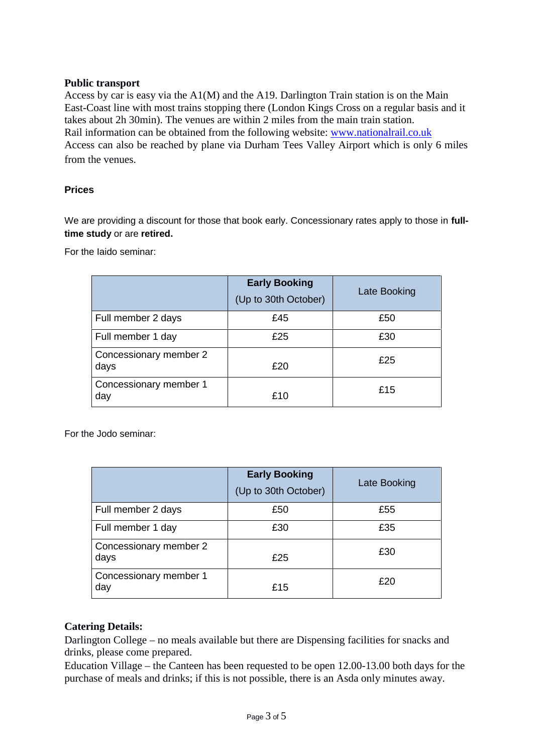#### **Public transport**

Access by car is easy via the A1(M) and the A19. Darlington Train station is on the Main East-Coast line with most trains stopping there (London Kings Cross on a regular basis and it takes about 2h 30min). The venues are within 2 miles from the main train station. Rail information can be obtained from the following website: www.nationalrail.co.uk Access can also be reached by plane via Durham Tees Valley Airport which is only 6 miles from the venues.

#### **Prices**

We are providing a discount for those that book early. Concessionary rates apply to those in **fulltime study** or are **retired.**

For the Iaido seminar:

|                                | <b>Early Booking</b><br>(Up to 30th October) | Late Booking |
|--------------------------------|----------------------------------------------|--------------|
| Full member 2 days             | £45                                          | £50          |
| Full member 1 day              | £25                                          | £30          |
| Concessionary member 2<br>days | £20                                          | £25          |
| Concessionary member 1<br>day  | £10                                          | £15          |

For the Jodo seminar:

|                                | <b>Early Booking</b><br>(Up to 30th October) | Late Booking |
|--------------------------------|----------------------------------------------|--------------|
| Full member 2 days             | £50                                          | £55          |
| Full member 1 day              | £30                                          | £35          |
| Concessionary member 2<br>days | £25                                          | £30          |
| Concessionary member 1<br>day  | £15                                          | £20          |

#### **Catering Details:**

Darlington College – no meals available but there are Dispensing facilities for snacks and drinks, please come prepared.

Education Village – the Canteen has been requested to be open 12.00-13.00 both days for the purchase of meals and drinks; if this is not possible, there is an Asda only minutes away.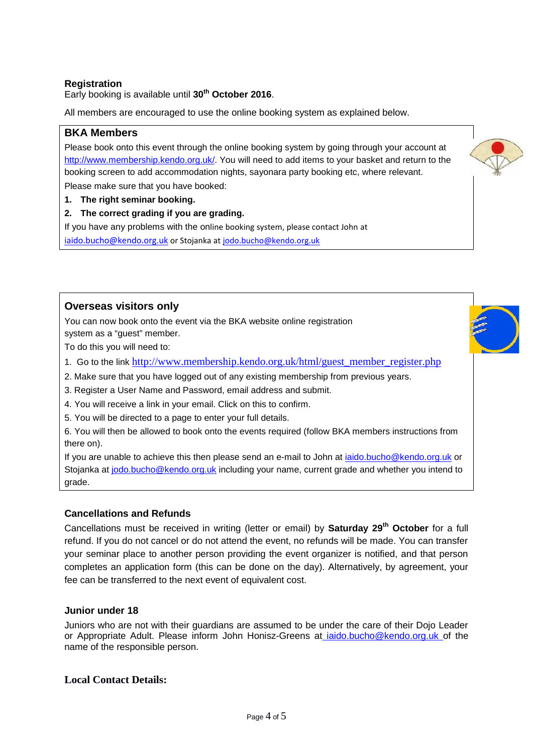#### **Registration**

Early booking is available until **30th October 2016**.

All members are encouraged to use the online booking system as explained below.

#### **BKA Members**

Please book onto this event through the online booking system by going through your account at http://www.membership.kendo.org.uk/. You will need to add items to your basket and return to the booking screen to add accommodation nights, sayonara party booking etc, where relevant.

Please make sure that you have booked:

- **1. The right seminar booking.**
- **2. The correct grading if you are grading.**

If you have any problems with the online booking system, please contact John at iaido.bucho@kendo.org.uk or Stojanka at jodo.bucho@kendo.org.uk



You can now book onto the event via the BKA website online registration system as a "guest" member.

To do this you will need to:

- 1. Go to the link http://www.membership.kendo.org.uk/html/guest\_member\_register.php
- 2. Make sure that you have logged out of any existing membership from previous years.
- 3. Register a User Name and Password, email address and submit.
- 4. You will receive a link in your email. Click on this to confirm.
- 5. You will be directed to a page to enter your full details.

6. You will then be allowed to book onto the events required (follow BKA members instructions from there on).

If you are unable to achieve this then please send an e-mail to John at iaido.bucho@kendo.org.uk or Stojanka at jodo.bucho@kendo.org.uk including your name, current grade and whether you intend to grade.

#### **Cancellations and Refunds**

Cancellations must be received in writing (letter or email) by **Saturday 29th October** for a full refund. If you do not cancel or do not attend the event, no refunds will be made. You can transfer your seminar place to another person providing the event organizer is notified, and that person completes an application form (this can be done on the day). Alternatively, by agreement, your fee can be transferred to the next event of equivalent cost.

#### **Junior under 18**

Juniors who are not with their guardians are assumed to be under the care of their Dojo Leader or Appropriate Adult. Please inform John Honisz-Greens at iaido.bucho@kendo.org.uk of the name of the responsible person.

#### **Local Contact Details:**